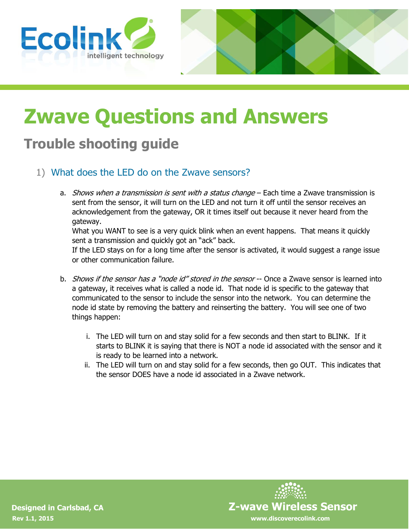



# **Zwave Questions and Answers**

# **Trouble shooting guide**

- 1) What does the LED do on the Zwave sensors?
	- a. *Shows when a transmission is sent with a status change* Each time a Zwave transmission is sent from the sensor, it will turn on the LED and not turn it off until the sensor receives an acknowledgement from the gateway, OR it times itself out because it never heard from the gateway.

What you WANT to see is a very quick blink when an event happens. That means it quickly sent a transmission and quickly got an "ack" back.

If the LED stays on for a long time after the sensor is activated, it would suggest a range issue or other communication failure.

- b. *Shows if the sensor has a "node id" stored in the sensor* -- Once a Zwave sensor is learned into a gateway, it receives what is called a node id. That node id is specific to the gateway that communicated to the sensor to include the sensor into the network. You can determine the node id state by removing the battery and reinserting the battery. You will see one of two things happen:
	- i. The LED will turn on and stay solid for a few seconds and then start to BLINK. If it starts to BLINK it is saying that there is NOT a node id associated with the sensor and it is ready to be learned into a network.
	- ii. The LED will turn on and stay solid for a few seconds, then go OUT. This indicates that the sensor DOES have a node id associated in a Zwave network.

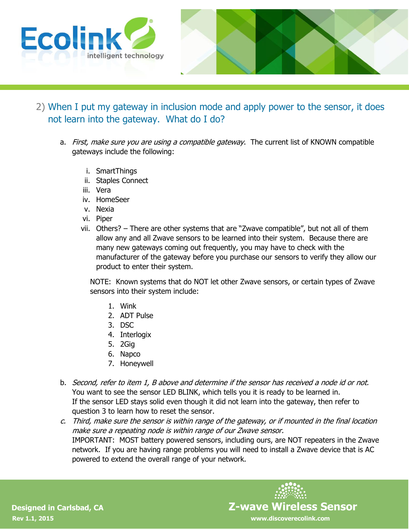



- 2) When I put my gateway in inclusion mode and apply power to the sensor, it does not learn into the gateway. What do I do?
	- a. First, make sure you are using a compatible gateway. The current list of KNOWN compatible gateways include the following:
		- i. SmartThings
		- ii. Staples Connect
		- iii. Vera
		- iv. HomeSeer
		- v. Nexia
		- vi. Piper
		- vii. Others? There are other systems that are "Zwave compatible", but not all of them allow any and all Zwave sensors to be learned into their system. Because there are many new gateways coming out frequently, you may have to check with the manufacturer of the gateway before you purchase our sensors to verify they allow our product to enter their system.

NOTE: Known systems that do NOT let other Zwave sensors, or certain types of Zwave sensors into their system include:

- 1. Wink
- 2. ADT Pulse
- 3. DSC
- 4. Interlogix
- 5. 2Gig
- 6. Napco
- 7. Honeywell
- b. Second, refer to item 1, B above and determine if the sensor has received a node id or not. You want to see the sensor LED BLINK, which tells you it is ready to be learned in. If the sensor LED stays solid even though it did not learn into the gateway, then refer to question 3 to learn how to reset the sensor.
- c. Third, make sure the sensor is within range of the gateway, or if mounted in the final location make sure a repeating node is within range of our Zwave sensor. IMPORTANT: MOST battery powered sensors, including ours, are NOT repeaters in the Zwave network. If you are having range problems you will need to install a Zwave device that is AC powered to extend the overall range of your network.

 **Designed in Carlsbad, CA Z-wave Wireless Sensor**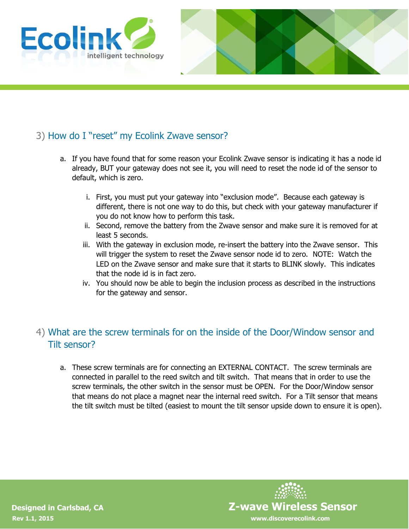



## 3) How do I "reset" my Ecolink Zwave sensor?

- a. If you have found that for some reason your Ecolink Zwave sensor is indicating it has a node id already, BUT your gateway does not see it, you will need to reset the node id of the sensor to default, which is zero.
	- i. First, you must put your gateway into "exclusion mode". Because each gateway is different, there is not one way to do this, but check with your gateway manufacturer if you do not know how to perform this task.
	- ii. Second, remove the battery from the Zwave sensor and make sure it is removed for at least 5 seconds.
	- iii. With the gateway in exclusion mode, re-insert the battery into the Zwave sensor. This will trigger the system to reset the Zwave sensor node id to zero. NOTE: Watch the LED on the Zwave sensor and make sure that it starts to BLINK slowly. This indicates that the node id is in fact zero.
	- iv. You should now be able to begin the inclusion process as described in the instructions for the gateway and sensor.

### 4) What are the screw terminals for on the inside of the Door/Window sensor and Tilt sensor?

a. These screw terminals are for connecting an EXTERNAL CONTACT. The screw terminals are connected in parallel to the reed switch and tilt switch. That means that in order to use the screw terminals, the other switch in the sensor must be OPEN. For the Door/Window sensor that means do not place a magnet near the internal reed switch. For a Tilt sensor that means the tilt switch must be tilted (easiest to mount the tilt sensor upside down to ensure it is open).